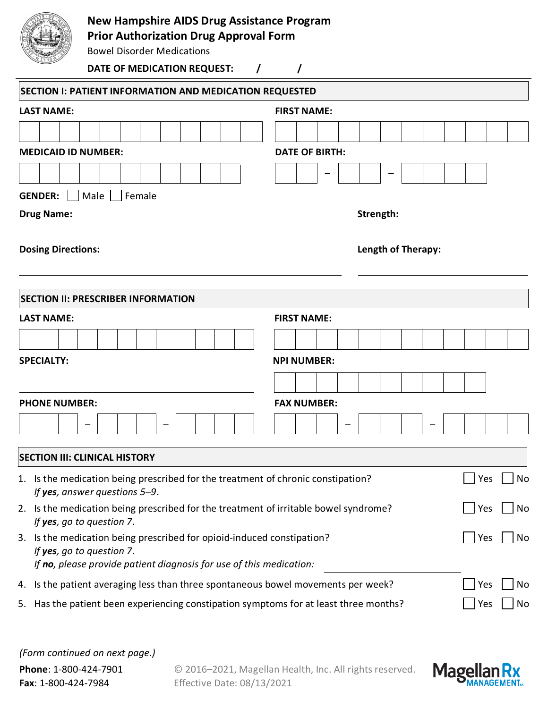

## **New Hampshire AIDS Drug Assistance Program**

**Prior Authorization Drug Approval Form**

Bowel Disorder Medications

## **DATE OF MEDICATION REQUEST: / /**

| <b>SECTION I: PATIENT INFORMATION AND MEDICATION REQUESTED</b>                                                                                                                |                           |  |  |  |  |  |  |  |  |  |  |
|-------------------------------------------------------------------------------------------------------------------------------------------------------------------------------|---------------------------|--|--|--|--|--|--|--|--|--|--|
| <b>LAST NAME:</b>                                                                                                                                                             | <b>FIRST NAME:</b>        |  |  |  |  |  |  |  |  |  |  |
|                                                                                                                                                                               |                           |  |  |  |  |  |  |  |  |  |  |
| <b>MEDICAID ID NUMBER:</b>                                                                                                                                                    | <b>DATE OF BIRTH:</b>     |  |  |  |  |  |  |  |  |  |  |
|                                                                                                                                                                               |                           |  |  |  |  |  |  |  |  |  |  |
| Male   Female<br><b>GENDER:</b>                                                                                                                                               |                           |  |  |  |  |  |  |  |  |  |  |
| <b>Drug Name:</b>                                                                                                                                                             | Strength:                 |  |  |  |  |  |  |  |  |  |  |
| <b>Dosing Directions:</b>                                                                                                                                                     | <b>Length of Therapy:</b> |  |  |  |  |  |  |  |  |  |  |
| <b>SECTION II: PRESCRIBER INFORMATION</b>                                                                                                                                     |                           |  |  |  |  |  |  |  |  |  |  |
| <b>LAST NAME:</b>                                                                                                                                                             | <b>FIRST NAME:</b>        |  |  |  |  |  |  |  |  |  |  |
|                                                                                                                                                                               |                           |  |  |  |  |  |  |  |  |  |  |
| <b>SPECIALTY:</b>                                                                                                                                                             | <b>NPI NUMBER:</b>        |  |  |  |  |  |  |  |  |  |  |
|                                                                                                                                                                               |                           |  |  |  |  |  |  |  |  |  |  |
| <b>PHONE NUMBER:</b>                                                                                                                                                          | <b>FAX NUMBER:</b>        |  |  |  |  |  |  |  |  |  |  |
|                                                                                                                                                                               |                           |  |  |  |  |  |  |  |  |  |  |
| <b>SECTION III: CLINICAL HISTORY</b>                                                                                                                                          |                           |  |  |  |  |  |  |  |  |  |  |
| 1. Is the medication being prescribed for the treatment of chronic constipation?<br>If yes, answer questions $5-9$ .                                                          | Yes<br>No                 |  |  |  |  |  |  |  |  |  |  |
| 2. Is the medication being prescribed for the treatment of irritable bowel syndrome?<br>If yes, go to question 7.                                                             | Yes<br>No                 |  |  |  |  |  |  |  |  |  |  |
| Is the medication being prescribed for opioid-induced constipation?<br>3.<br>If yes, go to question 7.<br>If no, please provide patient diagnosis for use of this medication: |                           |  |  |  |  |  |  |  |  |  |  |
| 4. Is the patient averaging less than three spontaneous bowel movements per week?                                                                                             |                           |  |  |  |  |  |  |  |  |  |  |
| 5. Has the patient been experiencing constipation symptoms for at least three months?                                                                                         |                           |  |  |  |  |  |  |  |  |  |  |